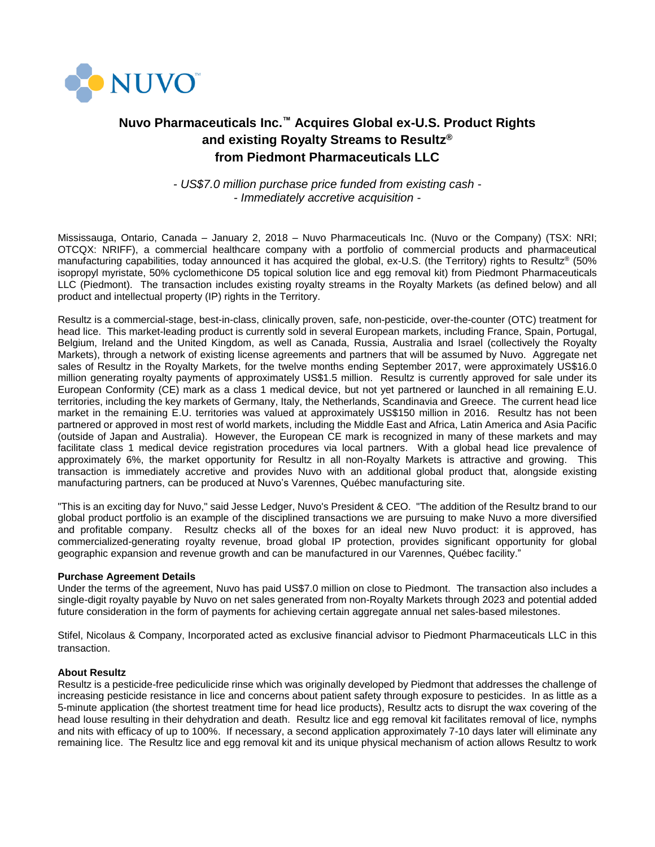

# **Nuvo Pharmaceuticals Inc.™ Acquires Global ex-U.S. Product Rights and existing Royalty Streams to Resultz® from Piedmont Pharmaceuticals LLC**

*- US\$7.0 million purchase price funded from existing cash - - Immediately accretive acquisition -*

Mississauga, Ontario, Canada – January 2, 2018 – Nuvo Pharmaceuticals Inc. (Nuvo or the Company) (TSX: NRI; OTCQX: NRIFF), a commercial healthcare company with a portfolio of commercial products and pharmaceutical manufacturing capabilities, today announced it has acquired the global, ex-U.S. (the Territory) rights to Resultz<sup>®</sup> (50% isopropyl myristate, 50% cyclomethicone D5 topical solution lice and egg removal kit) from Piedmont Pharmaceuticals LLC (Piedmont). The transaction includes existing royalty streams in the Royalty Markets (as defined below) and all product and intellectual property (IP) rights in the Territory.

Resultz is a commercial-stage, best-in-class, clinically proven, safe, non-pesticide, over-the-counter (OTC) treatment for head lice. This market-leading product is currently sold in several European markets, including France, Spain, Portugal, Belgium, Ireland and the United Kingdom, as well as Canada, Russia, Australia and Israel (collectively the Royalty Markets), through a network of existing license agreements and partners that will be assumed by Nuvo. Aggregate net sales of Resultz in the Royalty Markets, for the twelve months ending September 2017, were approximately US\$16.0 million generating royalty payments of approximately US\$1.5 million. Resultz is currently approved for sale under its European Conformity (CE) mark as a class 1 medical device, but not yet partnered or launched in all remaining E.U. territories, including the key markets of Germany, Italy, the Netherlands, Scandinavia and Greece. The current head lice market in the remaining E.U. territories was valued at approximately US\$150 million in 2016. Resultz has not been partnered or approved in most rest of world markets, including the Middle East and Africa, Latin America and Asia Pacific (outside of Japan and Australia). However, the European CE mark is recognized in many of these markets and may facilitate class 1 medical device registration procedures via local partners. With a global head lice prevalence of approximately 6%, the market opportunity for Resultz in all non-Royalty Markets is attractive and growing. This transaction is immediately accretive and provides Nuvo with an additional global product that, alongside existing manufacturing partners, can be produced at Nuvo's Varennes, Québec manufacturing site.

"This is an exciting day for Nuvo," said Jesse Ledger, Nuvo's President & CEO. "The addition of the Resultz brand to our global product portfolio is an example of the disciplined transactions we are pursuing to make Nuvo a more diversified and profitable company. Resultz checks all of the boxes for an ideal new Nuvo product: it is approved, has commercialized-generating royalty revenue, broad global IP protection, provides significant opportunity for global geographic expansion and revenue growth and can be manufactured in our Varennes, Québec facility."

# **Purchase Agreement Details**

Under the terms of the agreement, Nuvo has paid US\$7.0 million on close to Piedmont. The transaction also includes a single-digit royalty payable by Nuvo on net sales generated from non-Royalty Markets through 2023 and potential added future consideration in the form of payments for achieving certain aggregate annual net sales-based milestones.

Stifel, Nicolaus & Company, Incorporated acted as exclusive financial advisor to Piedmont Pharmaceuticals LLC in this transaction.

## **About Resultz**

Resultz is a pesticide-free pediculicide rinse which was originally developed by Piedmont that addresses the challenge of increasing pesticide resistance in lice and concerns about patient safety through exposure to pesticides. In as little as a 5-minute application (the shortest treatment time for head lice products), Resultz acts to disrupt the wax covering of the head louse resulting in their dehydration and death. Resultz lice and egg removal kit facilitates removal of lice, nymphs and nits with efficacy of up to 100%. If necessary, a second application approximately 7-10 days later will eliminate any remaining lice. The Resultz lice and egg removal kit and its unique physical mechanism of action allows Resultz to work